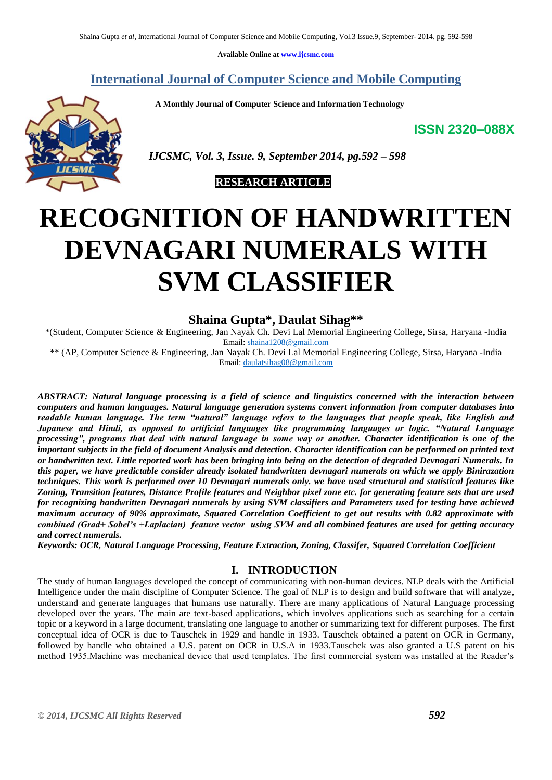**Available Online at [www.ijcsmc.com](http://www.ijcsmc.com/)**

**International Journal of Computer Science and Mobile Computing**

 **A Monthly Journal of Computer Science and Information Technology**

**ISSN 2320–088X**



 *IJCSMC, Vol. 3, Issue. 9, September 2014, pg.592 – 598*

 **RESEARCH ARTICLE**

# **RECOGNITION OF HANDWRITTEN DEVNAGARI NUMERALS WITH SVM CLASSIFIER**

# **Shaina Gupta\* , Daulat Sihag\*\***

\*(Student, Computer Science & Engineering, Jan Nayak Ch. Devi Lal Memorial Engineering College, Sirsa, Haryana -India Email: [shaina1208@gmail.com](mailto:shaina1208@gmail.com)

\*\* (AP, Computer Science & Engineering, Jan Nayak Ch. Devi Lal Memorial Engineering College, Sirsa, Haryana -India Email[: daulatsihag08@gmail.com](mailto:daulatsihag08@gmail.com)

*ABSTRACT: Natural language processing is a field of science and linguistics concerned with the interaction between computers and human languages. Natural language generation systems convert information from computer databases into readable human language. The term "natural" language refers to the languages that people speak, like English and Japanese and Hindi, as opposed to artificial languages like programming languages or logic. "Natural Language processing", programs that deal with natural language in some way or another. Character identification is one of the important subjects in the field of document Analysis and detection. Character identification can be performed on printed text or handwritten text. Little reported work has been bringing into being on the detection of degraded Devnagari Numerals. In this paper, we have predictable consider already isolated handwritten devnagari numerals on which we apply Binirazation techniques. This work is performed over 10 Devnagari numerals only. we have used structural and statistical features like Zoning, Transition features, Distance Profile features and Neighbor pixel zone etc. for generating feature sets that are used for recognizing handwritten Devnagari numerals by using SVM classifiers and Parameters used for testing have achieved maximum accuracy of 90% approximate, Squared Correlation Coefficient to get out results with 0.82 approximate with combined (Grad+ Sobel's +Laplacian) feature vector using SVM and all combined features are used for getting accuracy and correct numerals.*

*Keywords: OCR, Natural Language Processing, Feature Extraction, Zoning, Classifer, Squared Correlation Coefficient*

# **I. INTRODUCTION**

The study of human languages developed the concept of communicating with non-human devices. NLP deals with the Artificial Intelligence under the main discipline of Computer Science. The goal of NLP is to design and build software that will analyze, understand and generate languages that humans use naturally. There are many applications of Natural Language processing developed over the years. The main are text-based applications, which involves applications such as searching for a certain topic or a keyword in a large document, translating one language to another or summarizing text for different purposes. The first conceptual idea of OCR is due to Tauschek in 1929 and handle in 1933. Tauschek obtained a patent on OCR in Germany, followed by handle who obtained a U.S. patent on OCR in U.S.A in 1933.Tauschek was also granted a U.S patent on his method 1935.Machine was mechanical device that used templates. The first commercial system was installed at the Reader's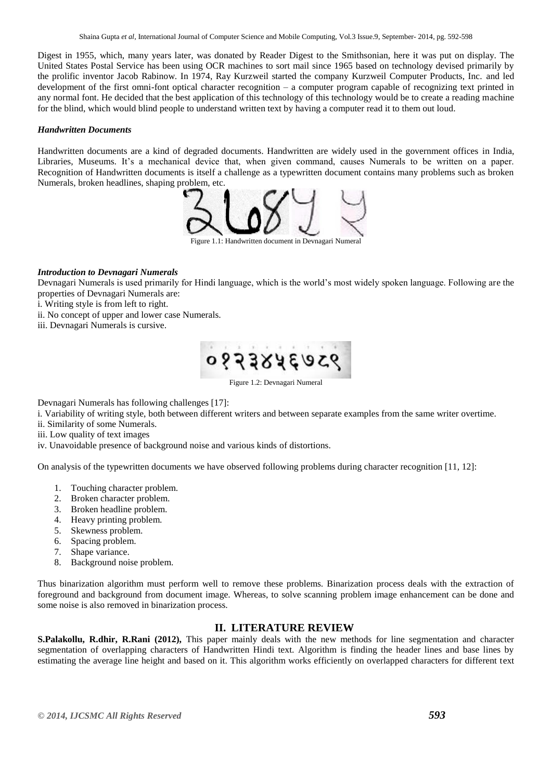Digest in 1955, which, many years later, was donated by Reader Digest to the Smithsonian, here it was put on display. The United States Postal Service has been using OCR machines to sort mail since 1965 based on technology devised primarily by the prolific inventor Jacob Rabinow. In 1974, Ray Kurzweil started the company Kurzweil Computer Products, Inc. and led development of the first omni-font optical character recognition – a computer program capable of recognizing text printed in any normal font. He decided that the best application of this technology of this technology would be to create a reading machine for the blind, which would blind people to understand written text by having a computer read it to them out loud.

### *Handwritten Documents*

Handwritten documents are a kind of degraded documents. Handwritten are widely used in the government offices in India, Libraries, Museums. It's a mechanical device that, when given command, causes Numerals to be written on a paper. Recognition of Handwritten documents is itself a challenge as a typewritten document contains many problems such as broken Numerals, broken headlines, shaping problem, etc.



Ire 1.1: Handwritten document in Devnagari Numeral

# *Introduction to Devnagari Numerals*

Devnagari Numerals is used primarily for Hindi language, which is the world's most widely spoken language. Following are the properties of Devnagari Numerals are:

i. Writing style is from left to right.

ii. No concept of upper and lower case Numerals.

iii. Devnagari Numerals is cursive.



Figure 1.2: Devnagari Numeral

Devnagari Numerals has following challenges [17]:

i. Variability of writing style, both between different writers and between separate examples from the same writer overtime.

ii. Similarity of some Numerals.

iii. Low quality of text images

iv. Unavoidable presence of background noise and various kinds of distortions.

On analysis of the typewritten documents we have observed following problems during character recognition [11, 12]:

- 1. Touching character problem.
- 2. Broken character problem.
- 3. Broken headline problem.
- 4. Heavy printing problem.
- 5. Skewness problem.
- 6. Spacing problem.
- 7. Shape variance.
- 8. Background noise problem.

Thus binarization algorithm must perform well to remove these problems. Binarization process deals with the extraction of foreground and background from document image. Whereas, to solve scanning problem image enhancement can be done and some noise is also removed in binarization process.

# **II. LITERATURE REVIEW**

**S.Palakollu, R.dhir, R.Rani (2012),** This paper mainly deals with the new methods for line segmentation and character segmentation of overlapping characters of Handwritten Hindi text. Algorithm is finding the header lines and base lines by estimating the average line height and based on it. This algorithm works efficiently on overlapped characters for different text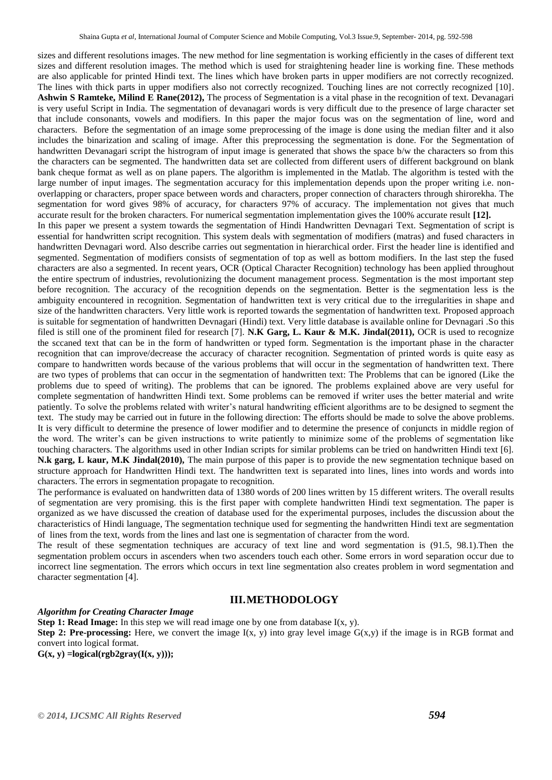sizes and different resolutions images. The new method for line segmentation is working efficiently in the cases of different text sizes and different resolution images. The method which is used for straightening header line is working fine. These methods are also applicable for printed Hindi text. The lines which have broken parts in upper modifiers are not correctly recognized. The lines with thick parts in upper modifiers also not correctly recognized. Touching lines are not correctly recognized [10]. **Ashwin S Ramteke, Milind E Rane(2012),** The process of Segmentation is a vital phase in the recognition of text. Devanagari is very useful Script in India. The segmentation of devanagari words is very difficult due to the presence of large character set that include consonants, vowels and modifiers. In this paper the major focus was on the segmentation of line, word and characters. Before the segmentation of an image some preprocessing of the image is done using the median filter and it also includes the binarization and scaling of image. After this preprocessing the segmentation is done. For the Segmentation of handwritten Devanagari script the histrogram of input image is generated that shows the space b/w the characters so from this the characters can be segmented. The handwritten data set are collected from different users of different background on blank bank cheque format as well as on plane papers. The algorithm is implemented in the Matlab. The algorithm is tested with the large number of input images. The segmentation accuracy for this implementation depends upon the proper writing i.e. nonoverlapping or characters, proper space between words and characters, proper connection of characters through shirorekha. The segmentation for word gives 98% of accuracy, for characters 97% of accuracy. The implementation not gives that much accurate result for the broken characters. For numerical segmentation implementation gives the 100% accurate result **[12].** In this paper we present a system towards the segmentation of Hindi Handwritten Devnagari Text. Segmentation of script is essential for handwritten script recognition. This system deals with segmentation of modifiers (matras) and fused characters in handwritten Devnagari word. Also describe carries out segmentation in hierarchical order. First the header line is identified and segmented. Segmentation of modifiers consists of segmentation of top as well as bottom modifiers. In the last step the fused characters are also a segmented. In recent years, OCR (Optical Character Recognition) technology has been applied throughout the entire spectrum of industries, revolutionizing the document management process. Segmentation is the most important step before recognition. The accuracy of the recognition depends on the segmentation. Better is the segmentation less is the ambiguity encountered in recognition. Segmentation of handwritten text is very critical due to the irregularities in shape and size of the handwritten characters. Very little work is reported towards the segmentation of handwritten text. Proposed approach is suitable for segmentation of handwritten Devnagari (Hindi) text. Very little database is available online for Devnagari .So this filed is still one of the prominent filed for research [7]. **N.K Garg, L. Kaur & M.K. Jindal(2011),** OCR is used to recognize the sccaned text that can be in the form of handwritten or typed form. Segmentation is the important phase in the character recognition that can improve/decrease the accuracy of character recognition. Segmentation of printed words is quite easy as compare to handwritten words because of the various problems that will occur in the segmentation of handwritten text. There are two types of problems that can occur in the segmentation of handwritten text: The Problems that can be ignored (Like the problems due to speed of writing). The problems that can be ignored. The problems explained above are very useful for complete segmentation of handwritten Hindi text. Some problems can be removed if writer uses the better material and write patiently. To solve the problems related with writer's natural handwriting efficient algorithms are to be designed to segment the text. The study may be carried out in future in the following direction: The efforts should be made to solve the above problems. It is very difficult to determine the presence of lower modifier and to determine the presence of conjuncts in middle region of the word. The writer's can be given instructions to write patiently to minimize some of the problems of segmentation like touching characters. The algorithms used in other Indian scripts for similar problems can be tried on handwritten Hindi text [6]. **N.k garg, L kaur, M.K Jindal(2010),** The main purpose of this paper is to provide the new segmentation technique based on structure approach for Handwritten Hindi text. The handwritten text is separated into lines, lines into words and words into characters. The errors in segmentation propagate to recognition.

The performance is evaluated on handwritten data of 1380 words of 200 lines written by 15 different writers. The overall results of segmentation are very promising. this is the first paper with complete handwritten Hindi text segmentation. The paper is organized as we have discussed the creation of database used for the experimental purposes, includes the discussion about the characteristics of Hindi language, The segmentation technique used for segmenting the handwritten Hindi text are segmentation of lines from the text, words from the lines and last one is segmentation of character from the word.

The result of these segmentation techniques are accuracy of text line and word segmentation is (91.5, 98.1).Then the segmentation problem occurs in ascenders when two ascenders touch each other. Some errors in word separation occur due to incorrect line segmentation. The errors which occurs in text line segmentation also creates problem in word segmentation and character segmentation [4].

# **III.METHODOLOGY**

#### *Algorithm for Creating Character Image*

**Step 1: Read Image:** In this step we will read image one by one from database I(x, y).

**Step 2: Pre-processing:** Here, we convert the image  $I(x, y)$  into gray level image  $G(x,y)$  if the image is in RGB format and convert into logical format.

 $G(x, y) =$ **logical**(rgb2gray( $I(x, y)$ ));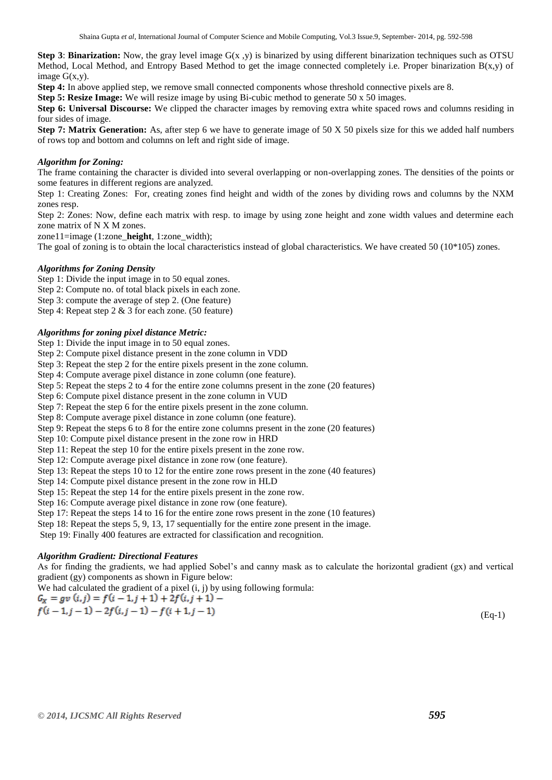**Step 3: Binarization:** Now, the gray level image G(x, y) is binarized by using different binarization techniques such as OTSU Method, Local Method, and Entropy Based Method to get the image connected completely i.e. Proper binarization  $B(x,y)$  of image  $G(x,y)$ .

**Step 4:** In above applied step, we remove small connected components whose threshold connective pixels are 8.

**Step 5: Resize Image:** We will resize image by using Bi-cubic method to generate 50 x 50 images.

**Step 6: Universal Discourse:** We clipped the character images by removing extra white spaced rows and columns residing in four sides of image.

**Step 7: Matrix Generation:** As, after step 6 we have to generate image of 50 X 50 pixels size for this we added half numbers of rows top and bottom and columns on left and right side of image.

#### *Algorithm for Zoning:*

The frame containing the character is divided into several overlapping or non-overlapping zones. The densities of the points or some features in different regions are analyzed.

Step 1: Creating Zones: For, creating zones find height and width of the zones by dividing rows and columns by the NXM zones resp.

Step 2: Zones: Now, define each matrix with resp. to image by using zone height and zone width values and determine each zone matrix of N X M zones.

zone11=image (1:zone\_**height**, 1:zone\_width);

The goal of zoning is to obtain the local characteristics instead of global characteristics. We have created 50 (10\*105) zones.

#### *Algorithms for Zoning Density*

Step 1: Divide the input image in to 50 equal zones.

Step 2: Compute no. of total black pixels in each zone.

Step 3: compute the average of step 2. (One feature)

Step 4: Repeat step 2 & 3 for each zone. (50 feature)

#### *Algorithms for zoning pixel distance Metric:*

Step 1: Divide the input image in to 50 equal zones.

Step 2: Compute pixel distance present in the zone column in VDD

Step 3: Repeat the step 2 for the entire pixels present in the zone column.

Step 4: Compute average pixel distance in zone column (one feature).

Step 5: Repeat the steps 2 to 4 for the entire zone columns present in the zone (20 features)

Step 6: Compute pixel distance present in the zone column in VUD

Step 7: Repeat the step 6 for the entire pixels present in the zone column.

Step 8: Compute average pixel distance in zone column (one feature).

Step 9: Repeat the steps 6 to 8 for the entire zone columns present in the zone (20 features)

Step 10: Compute pixel distance present in the zone row in HRD

Step 11: Repeat the step 10 for the entire pixels present in the zone row.

Step 12: Compute average pixel distance in zone row (one feature).

Step 13: Repeat the steps 10 to 12 for the entire zone rows present in the zone (40 features)

Step 14: Compute pixel distance present in the zone row in HLD

Step 15: Repeat the step 14 for the entire pixels present in the zone row.

Step 16: Compute average pixel distance in zone row (one feature).

Step 17: Repeat the steps 14 to 16 for the entire zone rows present in the zone (10 features)

Step 18: Repeat the steps 5, 9, 13, 17 sequentially for the entire zone present in the image.

Step 19: Finally 400 features are extracted for classification and recognition.

# *Algorithm Gradient: Directional Features*

As for finding the gradients, we had applied Sobel's and canny mask as to calculate the horizontal gradient (gx) and vertical gradient (gy) components as shown in Figure below:

We had calculated the gradient of a pixel (i, j) by using following formula:<br> $C = \frac{1}{2} \int_{0}^{2} \frac{1}{2} \int_{0}^{2} \frac{1}{2} \cdot \frac{1}{2} \cdot \frac{1}{2} \cdot \frac{1}{2} \cdot \frac{1}{2} \cdot \frac{1}{2} \cdot \frac{1}{2} \cdot \frac{1}{2} \cdot \frac{1}{2} \cdot \frac{1}{2} \cdot \frac{1}{2} \cdot \frac{1}{2} \cdot \frac{$ 

$$
G_X = gv \ (i,j) = f(i-1,j+1) + 2f(i,j+1) - f(i+1,j-1)
$$
  
\n
$$
f(i-1,j-1) - 2f(i,j-1) - f(i+1,j-1)
$$
 (Eq-1)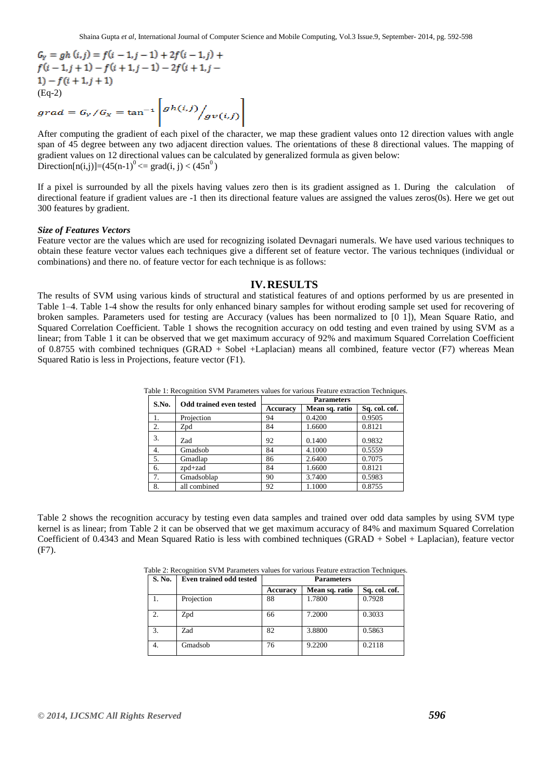$G_Y = gh(i, j) = f(i - 1, j - 1) + 2f(i - 1, j) +$  $f(i-1, j+1) - f(i+1, j-1) - 2f(i+1, j-1)$  $1) - f(i + 1, j + 1)$ (Eq-2)<br> $grad = G_Y/G_X = \tan^{-1}\left[gh(i,j) / gv(i,j)\right]$ 

After computing the gradient of each pixel of the character, we map these gradient values onto 12 direction values with angle span of 45 degree between any two adjacent direction values. The orientations of these 8 directional values. The mapping of gradient values on 12 directional values can be calculated by generalized formula as given below: Direction $[n(i,j)]=(45(n-1))^0$  <  $\sigma$  grad $(i, j)$  <  $(45n^0)$ 

If a pixel is surrounded by all the pixels having values zero then is its gradient assigned as 1. During the calculation of directional feature if gradient values are -1 then its directional feature values are assigned the values zeros(0s). Here we get out 300 features by gradient.

#### *Size of Features Vectors*

Feature vector are the values which are used for recognizing isolated Devnagari numerals. We have used various techniques to obtain these feature vector values each techniques give a different set of feature vector. The various techniques (individual or combinations) and there no. of feature vector for each technique is as follows:

#### **IV.RESULTS**

The results of SVM using various kinds of structural and statistical features of and options performed by us are presented in Table 1–4. Table 1-4 show the results for only enhanced binary samples for without eroding sample set used for recovering of broken samples. Parameters used for testing are Accuracy (values has been normalized to [0 1]), Mean Square Ratio, and Squared Correlation Coefficient. Table 1 shows the recognition accuracy on odd testing and even trained by using SVM as a linear; from Table 1 it can be observed that we get maximum accuracy of 92% and maximum Squared Correlation Coefficient of 0.8755 with combined techniques (GRAD + Sobel +Laplacian) means all combined, feature vector (F7) whereas Mean Squared Ratio is less in Projections, feature vector (F1).

| S.No. | Odd trained even tested | <b>Parameters</b> |                |               |  |
|-------|-------------------------|-------------------|----------------|---------------|--|
|       |                         | <b>Accuracy</b>   | Mean sq. ratio | Sq. col. cof. |  |
| 1.    | Projection              | 94                | 0.4200         | 0.9505        |  |
| 2.    | Zpd                     | 84                | 1.6600         | 0.8121        |  |
| 3.    | Zad                     | 92                | 0.1400         | 0.9832        |  |
| 4.    | Gmadsob                 | 84                | 4.1000         | 0.5559        |  |
| 5.    | Gmadlap                 | 86                | 2.6400         | 0.7075        |  |
| 6.    | $zpd+zad$               | 84                | 1.6600         | 0.8121        |  |
| 7.    | Gmadsoblap              | 90                | 3.7400         | 0.5983        |  |
| 8.    | all combined            | 92                | 1.1000         | 0.8755        |  |

Table 1: Recognition SVM Parameters values for various Feature extraction Techniques.

Table 2 shows the recognition accuracy by testing even data samples and trained over odd data samples by using SVM type kernel is as linear; from Table 2 it can be observed that we get maximum accuracy of 84% and maximum Squared Correlation Coefficient of 0.4343 and Mean Squared Ratio is less with combined techniques (GRAD + Sobel + Laplacian), feature vector (F7).

| Table 2: Recognition SVM Parameters values for various Feature extraction Techniques. |  |  |  |
|---------------------------------------------------------------------------------------|--|--|--|
|                                                                                       |  |  |  |

| S. No. | <b>Even trained odd tested</b> | <b>Parameters</b> |                |               |
|--------|--------------------------------|-------------------|----------------|---------------|
|        |                                | <b>Accuracy</b>   | Mean sq. ratio | Sq. col. cof. |
|        | Projection                     | 88                | 1.7800         | 0.7928        |
| 2.     | Zpd                            | 66                | 7.2000         | 0.3033        |
| 3.     | Zad                            | 82                | 3.8800         | 0.5863        |
| 4.     | Gmadsob                        | 76                | 9.2200         | 0.2118        |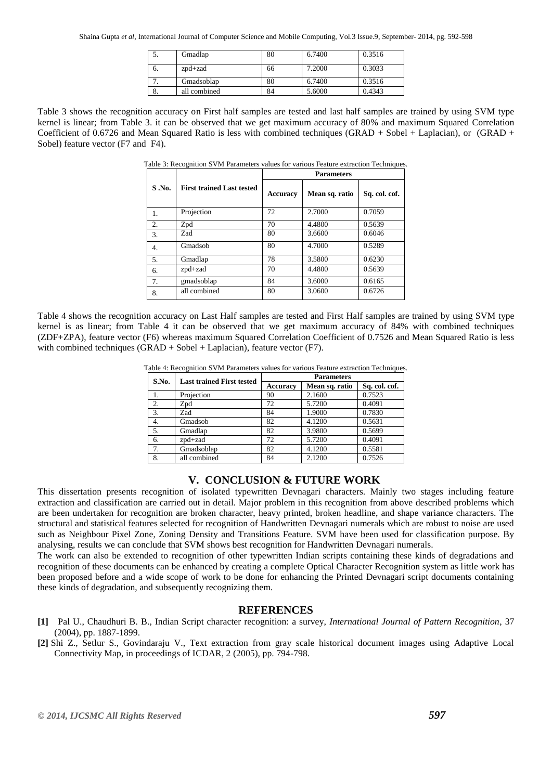|    | Gmadlap      | 80 | 6.7400 | 0.3516 |
|----|--------------|----|--------|--------|
| O. | $zpd+zad$    | 66 | 7.2000 | 0.3033 |
|    | Gmadsoblap   | 80 | 6.7400 | 0.3516 |
| o. | all combined | 84 | 5.6000 | 0.4343 |

Table 3 shows the recognition accuracy on First half samples are tested and last half samples are trained by using SVM type kernel is linear; from Table 3. it can be observed that we get maximum accuracy of 80% and maximum Squared Correlation Coefficient of 0.6726 and Mean Squared Ratio is less with combined techniques (GRAD + Sobel + Laplacian), or (GRAD + Sobel) feature vector (F7 and F4).

| <sup>-</sup><br><b>Parameters</b> |                                  |          |                |               |  |
|-----------------------------------|----------------------------------|----------|----------------|---------------|--|
| S.No.                             | <b>First trained Last tested</b> | Accuracy | Mean sq. ratio | Sq. col. cof. |  |
| 1.                                | Projection                       | 72       | 2.7000         | 0.7059        |  |
| 2.                                | Zpd                              | 70       | 4.4800         | 0.5639        |  |
| 3.                                | Zad                              | 80       | 3.6600         | 0.6046        |  |
| 4.                                | Gmadsob                          | 80       | 4.7000         | 0.5289        |  |
| 5.                                | Gmadlap                          | 78       | 3.5800         | 0.6230        |  |
| 6.                                | zpd+zad                          | 70       | 4.4800         | 0.5639        |  |
| 7.                                | gmadsoblap                       | 84       | 3.6000         | 0.6165        |  |
| 8.                                | all combined                     | 80       | 3.0600         | 0.6726        |  |

Table 3: Recognition SVM Parameters values for various Feature extraction Techniques.

Table 4 shows the recognition accuracy on Last Half samples are tested and First Half samples are trained by using SVM type kernel is as linear; from Table 4 it can be observed that we get maximum accuracy of 84% with combined techniques (ZDF+ZPA), feature vector (F6) whereas maximum Squared Correlation Coefficient of 0.7526 and Mean Squared Ratio is less with combined techniques (GRAD + Sobel + Laplacian), feature vector (F7).

| S.No. | <b>Last trained First tested</b> | <b>Parameters</b> |                |               |
|-------|----------------------------------|-------------------|----------------|---------------|
|       |                                  | <b>Accuracy</b>   | Mean sq. ratio | Sq. col. cof. |
|       | Projection                       | 90                | 2.1600         | 0.7523        |
| 2.    | Zpd                              | 72                | 5.7200         | 0.4091        |
| 3.    | Zad                              | 84                | 1.9000         | 0.7830        |
| 4.    | Gmadsob                          | 82                | 4.1200         | 0.5631        |
| 5.    | Gmadlap                          | 82                | 3.9800         | 0.5699        |
| 6.    | $zpd+zad$                        | 72                | 5.7200         | 0.4091        |
| 7.    | Gmadsoblap                       | 82                | 4.1200         | 0.5581        |
| 8.    | all combined                     | 84                | 2.1200         | 0.7526        |

# **V. CONCLUSION & FUTURE WORK**

This dissertation presents recognition of isolated typewritten Devnagari characters. Mainly two stages including feature extraction and classification are carried out in detail. Major problem in this recognition from above described problems which are been undertaken for recognition are broken character, heavy printed, broken headline, and shape variance characters. The structural and statistical features selected for recognition of Handwritten Devnagari numerals which are robust to noise are used such as Neighbour Pixel Zone, Zoning Density and Transitions Feature. SVM have been used for classification purpose. By analysing, results we can conclude that SVM shows best recognition for Handwritten Devnagari numerals.

The work can also be extended to recognition of other typewritten Indian scripts containing these kinds of degradations and recognition of these documents can be enhanced by creating a complete Optical Character Recognition system as little work has been proposed before and a wide scope of work to be done for enhancing the Printed Devnagari script documents containing these kinds of degradation, and subsequently recognizing them.

# **REFERENCES**

- **[1]** Pal U., Chaudhuri B. B., Indian Script character recognition: a survey, *International Journal of Pattern Recognition*, 37 (2004), pp. 1887-1899.
- **[2]** Shi Z., Setlur S., Govindaraju V., Text extraction from gray scale historical document images using Adaptive Local Connectivity Map, in proceedings of ICDAR, 2 (2005), pp. 794-798.